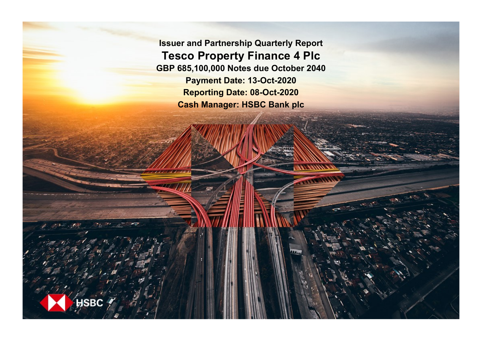**Issuer and Partnership Quarterly Report Tesco Property Finance 4 Plc GBP 685,100,000 Notes due October 2040 Payment Date: 13-Oct-2020 Reporting Date: 08-Oct-2020 Cash Manager: HSBC Bank plc**

**SRC**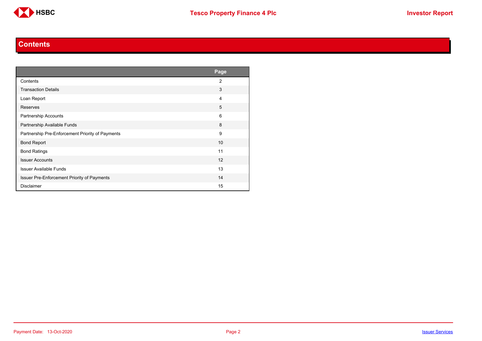

#### **Contents**

<span id="page-1-0"></span>

|                                                  | Page           |
|--------------------------------------------------|----------------|
| Contents                                         | $\overline{2}$ |
| <b>Transaction Details</b>                       | 3              |
| Loan Report                                      | 4              |
| Reserves                                         | 5              |
| <b>Partnership Accounts</b>                      | 6              |
| Partnership Available Funds                      | 8              |
| Partnership Pre-Enforcement Priority of Payments | 9              |
| <b>Bond Report</b>                               | 10             |
| <b>Bond Ratings</b>                              | 11             |
| <b>Issuer Accounts</b>                           | 12             |
| <b>Issuer Available Funds</b>                    | 13             |
| Issuer Pre-Enforcement Priority of Payments      | 14             |
| <b>Disclaimer</b>                                | 15             |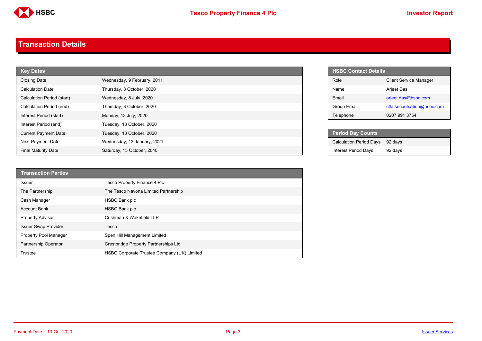

#### <span id="page-2-0"></span>**Transaction Details**

| <b>Key Dates</b>            |                             |  | <b>HSBC Contact Details</b>    |
|-----------------------------|-----------------------------|--|--------------------------------|
| <b>Closing Date</b>         | Wednesday, 9 February, 2011 |  | Role                           |
| <b>Calculation Date</b>     | Thursday, 8 October, 2020   |  | Name                           |
| Calculation Period (start)  | Wednesday, 8 July, 2020     |  | Email                          |
| Calculation Period (end)    | Thursday, 8 October, 2020   |  | Group Email                    |
| Interest Period (start)     | Monday, 13 July, 2020       |  | Telephone                      |
| Interest Period (end)       | Tuesday, 13 October, 2020   |  |                                |
| <b>Current Payment Date</b> | Tuesday, 13 October, 2020   |  | <b>Period Day Counts</b>       |
| Next Payment Date           | Wednesday, 13 January, 2021 |  | <b>Calculation Period Days</b> |
| <b>Final Maturity Date</b>  | Saturday, 13 October, 2040  |  | <b>Interest Period Days</b>    |

| <b>Transaction Parties</b>   |                                             |
|------------------------------|---------------------------------------------|
| <b>Issuer</b>                | <b>Tesco Property Finance 4 Plc</b>         |
| The Partnership              | The Tesco Navona Limited Partnership        |
| Cash Manager                 | <b>HSBC Bank plc</b>                        |
| <b>Account Bank</b>          | <b>HSBC Bank plc</b>                        |
| <b>Property Advisor</b>      | Cushman & Wakefield LLP                     |
| <b>Issuer Swap Provider</b>  | Tesco                                       |
| <b>Property Pool Manager</b> | Spen Hill Management Limited                |
| Partnership Operator         | Crestbridge Property Partnerships Ltd       |
| Trustee                      | HSBC Corporate Trustee Company (UK) Limited |

| <b>HSBC Contact Details</b> |                               |
|-----------------------------|-------------------------------|
| <b>Role</b>                 | <b>Client Service Manager</b> |
| Name                        | Arjeet Das                    |
| Fmail                       | arjeet.das@hsbc.com           |
| Group Email                 | ctla.securitsation@hsbc.com   |
| Telephone                   | 0207 991 3754                 |

| <b>Period Day Counts</b>       |         |
|--------------------------------|---------|
| <b>Calculation Period Days</b> | 92 davs |
| <b>Interest Period Days</b>    | 92 days |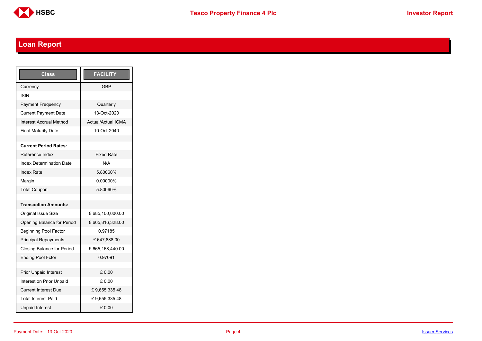

# <span id="page-3-0"></span>**Loan Report**

| <b>Class</b>                    | <b>FACILITY</b>           |
|---------------------------------|---------------------------|
| Currency                        | <b>GBP</b>                |
| ISIN                            |                           |
| <b>Payment Frequency</b>        | Quarterly                 |
| <b>Current Payment Date</b>     | 13-Oct-2020               |
| Interest Accrual Method         | <b>Actual/Actual ICMA</b> |
| <b>Final Maturity Date</b>      | 10-Oct-2040               |
|                                 |                           |
| <b>Current Period Rates:</b>    |                           |
| Reference Index                 | <b>Fixed Rate</b>         |
| <b>Index Determination Date</b> | N/A                       |
| <b>Index Rate</b>               | 5.80060%                  |
| Margin                          | 0.00000%                  |
| <b>Total Coupon</b>             | 5.80060%                  |
|                                 |                           |
| <b>Transaction Amounts:</b>     |                           |
| <b>Original Issue Size</b>      | £ 685,100,000.00          |
| Opening Balance for Period      | £665,816,328.00           |
| <b>Beginning Pool Factor</b>    | 0.97185                   |
| <b>Principal Repayments</b>     | £ 647,888.00              |
| Closing Balance for Period      | £665,168,440.00           |
| <b>Ending Pool Fctor</b>        | 0.97091                   |
|                                 |                           |
| <b>Prior Unpaid Interest</b>    | £ 0.00                    |
| Interest on Prior Unpaid        | £ 0.00                    |
| <b>Current Interest Due</b>     | £9,655,335.48             |
| <b>Total Interest Paid</b>      | £9,655,335.48             |
| <b>Unpaid Interest</b>          | £0.00                     |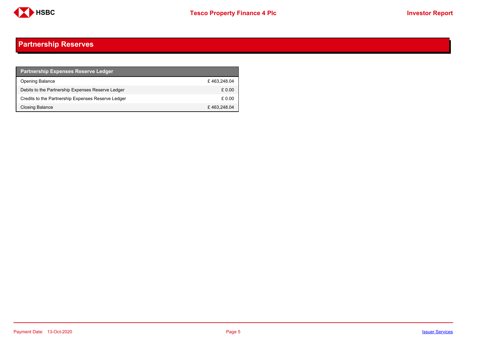

## <span id="page-4-0"></span>**Partnership Reserves**

| <b>Partnership Expenses Reserve Ledger</b>         |             |
|----------------------------------------------------|-------------|
| Opening Balance                                    | £463.248.04 |
| Debits to the Partnership Expenses Reserve Ledger  | £ 0.00      |
| Credits to the Partnership Expenses Reserve Ledger | £ 0.00      |
| Closing Balance                                    | £463,248.04 |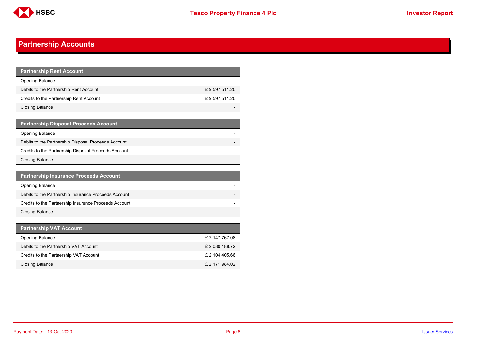

## <span id="page-5-0"></span>**Partnership Accounts**

| <b>Partnership Rent Account</b>         |               |
|-----------------------------------------|---------------|
| <b>Opening Balance</b>                  |               |
| Debits to the Partnership Rent Account  | £9,597,511.20 |
| Credits to the Partnership Rent Account | £9,597,511.20 |
| <b>Closing Balance</b>                  |               |

| <b>Partnership Disposal Proceeds Account</b>         |  |
|------------------------------------------------------|--|
| Opening Balance                                      |  |
| Debits to the Partnership Disposal Proceeds Account  |  |
| Credits to the Partnership Disposal Proceeds Account |  |
| Closing Balance                                      |  |

| <b>Partnership Insurance Proceeds Account</b>         |  |
|-------------------------------------------------------|--|
| <b>Opening Balance</b>                                |  |
| Debits to the Partnership Insurance Proceeds Account  |  |
| Credits to the Partnership Insurance Proceeds Account |  |
| <b>Closing Balance</b>                                |  |

| <b>Partnership VAT Account</b>         |                |
|----------------------------------------|----------------|
| <b>Opening Balance</b>                 | £ 2,147,767.08 |
| Debits to the Partnership VAT Account  | £ 2,080,188.72 |
| Credits to the Partnership VAT Account | £ 2,104,405.66 |
| Closing Balance                        | £ 2,171,984.02 |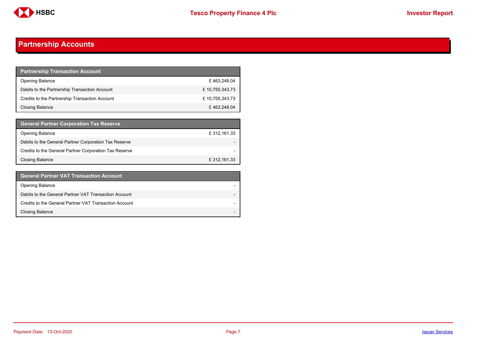

## **Partnership Accounts**

| <b>Partnership Transaction Account</b>         |                |
|------------------------------------------------|----------------|
| <b>Opening Balance</b>                         | £463,248.04    |
| Debits to the Partnership Transaction Account  | £10,755,343.73 |
| Credits to the Partnership Transaction Account | £10,755,343.73 |
| <b>Closing Balance</b>                         | £463,248.04    |

| <b>General Partner Corporation Tax Reserve</b>         |              |
|--------------------------------------------------------|--------------|
| <b>Opening Balance</b>                                 | £ 312,161.33 |
| Debits to the General Partner Corporation Tax Reserve  |              |
| Credits to the General Partner Corporation Tax Reserve |              |
| <b>Closing Balance</b>                                 | £ 312,161.33 |

| <b>General Partner VAT Transaction Account</b>         |                          |
|--------------------------------------------------------|--------------------------|
| <b>Opening Balance</b>                                 |                          |
| Debits to the General Partner VAT Transaction Account  |                          |
| Credits to the General Partner VAT Transaction Account | $\overline{\phantom{0}}$ |
| <b>Closing Balance</b>                                 | -                        |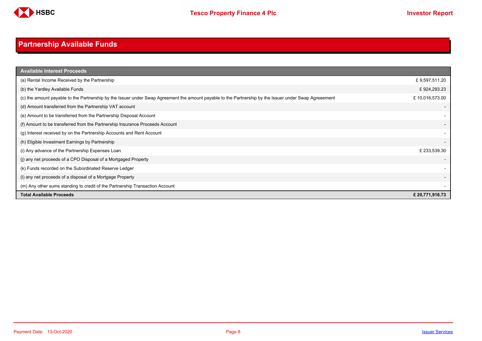

# <span id="page-7-0"></span>**Partnership Available Funds**

| <b>Available Interest Proceeds</b>                                                                                                                     |                |
|--------------------------------------------------------------------------------------------------------------------------------------------------------|----------------|
| (a) Rental Income Received by the Partnership                                                                                                          | £9,597,511.20  |
| (b) the Yardley Available Funds                                                                                                                        | £924,293.23    |
| (c) the amount payable to the Partnership by the Issuer under Swap Agreement the amount payable to the Partnership by the Issuer under Swap Agreeement | £10,016,573.00 |
| (d) Amount transferred from the Partnership VAT account                                                                                                |                |
| (e) Amount to be transferred from the Partnership Disposal Account                                                                                     |                |
| (f) Amount to be transferred from the Partnership Insurance Proceeds Account                                                                           |                |
| (g) Interest received by on the Partnership Accounts and Rent Account                                                                                  |                |
| (h) Eligible Investment Earnings by Partnership                                                                                                        |                |
| (i) Any advance of the Partnership Expenses Loan                                                                                                       | £ 233,539.30   |
| (i) any net proceeds of a CPO Disposal of a Mortgaged Property                                                                                         |                |
| (k) Funds recorded on the Subordinated Reserve Ledger                                                                                                  |                |
| (I) any net proceeds of a disposal of a Mortgage Property                                                                                              |                |
| (m) Any other sums standing to credit of the Partnership Transaction Account                                                                           |                |
| <b>Total Available Proceeds</b>                                                                                                                        | £20,771,916.73 |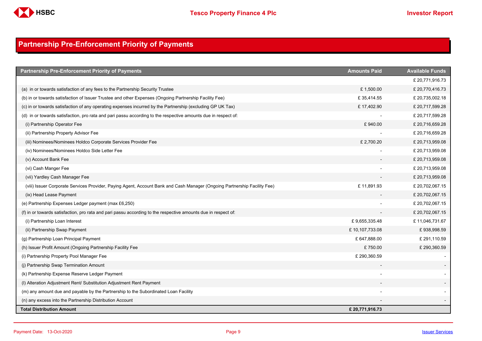

## <span id="page-8-0"></span>**Partnership Pre-Enforcement Priority of Payments**

| <b>Partnership Pre-Enforcement Priority of Payments</b>                                                                   | <b>Amounts Paid</b> | <b>Available Funds</b> |
|---------------------------------------------------------------------------------------------------------------------------|---------------------|------------------------|
|                                                                                                                           |                     | £20,771,916.73         |
| (a) in or towards satisfaction of any fees to the Partnership Security Trustee                                            | £1,500.00           | £20,770,416.73         |
| (b) in or towards satisfaction of Issuer Trustee and other Expenses (Ongoing Partnership Facility Fee)                    | £35,414.55          | £ 20,735,002.18        |
| (c) in or towards satisfaction of any operating expenses incurred by the Partnership (excluding GP UK Tax)                | £17,402.90          | £ 20,717,599.28        |
| (d) in or towards satisfaction, pro rata and pari passu according to the respective amounts due in respect of:            |                     | £ 20,717,599.28        |
| (i) Partnership Operator Fee                                                                                              | £940.00             | £20,716,659.28         |
| (ii) Partnership Property Advisor Fee                                                                                     |                     | £20,716,659.28         |
| (iii) Nominees/Nominees Holdco Corporate Services Provider Fee                                                            | £ 2,700.20          | £ 20,713,959.08        |
| (iv) Nominees/Nominees Holdco Side Letter Fee                                                                             |                     | £ 20,713,959.08        |
| (v) Account Bank Fee                                                                                                      |                     | £ 20,713,959.08        |
| (vi) Cash Manger Fee                                                                                                      |                     | £ 20,713,959.08        |
| (vii) Yardley Cash Manager Fee                                                                                            |                     | £ 20,713,959.08        |
| (viii) Issuer Corporate Services Provider, Paying Agent, Account Bank and Cash Manager (Ongoing Partnership Facility Fee) | £11,891.93          | £20,702,067.15         |
| (ix) Head Lease Payment                                                                                                   |                     | £ 20,702,067.15        |
| (e) Partnership Expenses Ledger payment (max £6,250)                                                                      |                     | £20,702,067.15         |
| (f) in or towards satisfaction, pro rata and pari passu according to the respective amounts due in respect of:            |                     | £20,702,067.15         |
| (i) Partnership Loan Interest                                                                                             | £9,655,335.48       | £11,046,731.67         |
| (ii) Partnership Swap Payment                                                                                             | £10,107,733.08      | £938,998.59            |
| (g) Partnership Loan Principal Payment                                                                                    | £ 647,888.00        | £ 291,110.59           |
| (h) Issuer Profit Amount (Ongoing Partnership Facility Fee                                                                | £750.00             | £ 290,360.59           |
| (i) Partnership Property Pool Manager Fee                                                                                 | £ 290,360.59        |                        |
| (j) Partnership Swap Termination Amount                                                                                   |                     |                        |
| (k) Partnership Expense Reserve Ledger Payment                                                                            |                     |                        |
| (I) Alteration Adjustment Rent/ Substitution Adjustment Rent Payment                                                      |                     |                        |
| (m) any amount due and payable by the Partnership to the Subordinated Loan Facility                                       |                     |                        |
| (n) any excess into the Partnership Distribution Account                                                                  |                     |                        |
| <b>Total Distribution Amount</b>                                                                                          | £20,771,916.73      |                        |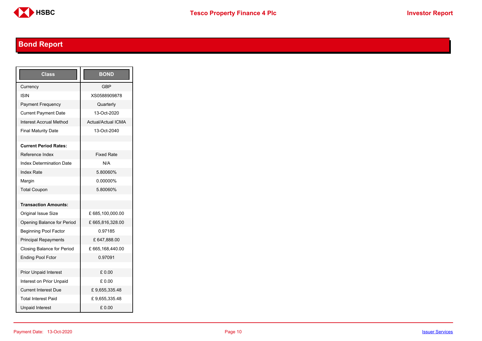

# <span id="page-9-0"></span>**Bond Report**

| Class                           | <b>BOND</b>               |
|---------------------------------|---------------------------|
| Currency                        | <b>GBP</b>                |
| <b>ISIN</b>                     | XS0588909878              |
| <b>Payment Frequency</b>        | Quarterly                 |
| <b>Current Payment Date</b>     | 13-Oct-2020               |
| <b>Interest Accrual Method</b>  | <b>Actual/Actual ICMA</b> |
| <b>Final Maturity Date</b>      | 13-Oct-2040               |
|                                 |                           |
| <b>Current Period Rates:</b>    |                           |
| Reference Index                 | <b>Fixed Rate</b>         |
| <b>Index Determination Date</b> | N/A                       |
| <b>Index Rate</b>               | 5.80060%                  |
| Margin                          | 0.00000%                  |
| <b>Total Coupon</b>             | 5.80060%                  |
|                                 |                           |
| <b>Transaction Amounts:</b>     |                           |
| <b>Original Issue Size</b>      | £685,100,000.00           |
| Opening Balance for Period      | £665,816,328.00           |
| <b>Beginning Pool Factor</b>    | 0.97185                   |
| <b>Principal Repayments</b>     | £ 647,888.00              |
| Closing Balance for Period      | £665,168,440.00           |
| <b>Ending Pool Fctor</b>        | 0.97091                   |
|                                 |                           |
| <b>Prior Unpaid Interest</b>    | £0.00                     |
| Interest on Prior Unpaid        | £ 0.00                    |
| <b>Current Interest Due</b>     | £9,655,335.48             |
| <b>Total Interest Paid</b>      | £9,655,335.48             |
| <b>Unpaid Interest</b>          | £0.00                     |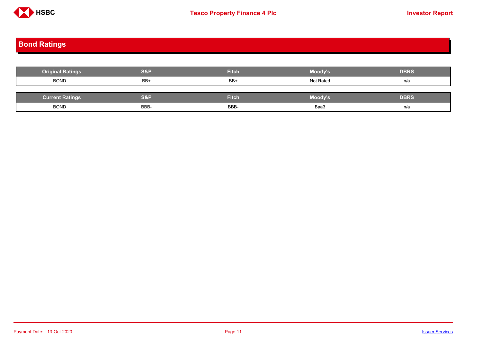

# <span id="page-10-0"></span>**Bond Ratings**

| <b>Original Ratings</b> | <b>S&amp;P</b> | <b>Fitch</b> | Moody's        | <b>DBRS</b> |
|-------------------------|----------------|--------------|----------------|-------------|
| <b>BOND</b>             | BB+            | BB+          | Not Rated      | n/a         |
|                         |                |              |                |             |
| <b>Current Ratings</b>  | <b>S&amp;P</b> | <b>Fitch</b> | <b>Moody's</b> | <b>DBRS</b> |
| <b>BOND</b>             | BBB-           | BBB-         | Baa3           | n/a         |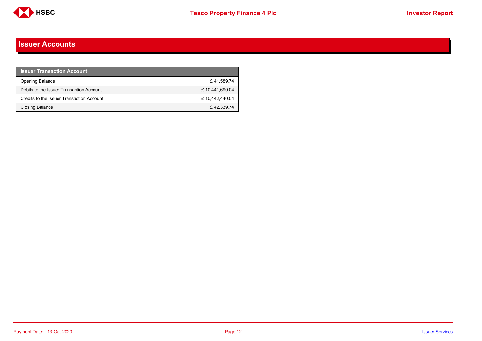

#### <span id="page-11-0"></span>**Issuer Accounts**

| <b>Issuer Transaction Account</b>         |                |
|-------------------------------------------|----------------|
| <b>Opening Balance</b>                    | £41,589.74     |
| Debits to the Issuer Transaction Account  | £10,441,690.04 |
| Credits to the Issuer Transaction Account | £10.442.440.04 |
| Closing Balance                           | £42.339.74     |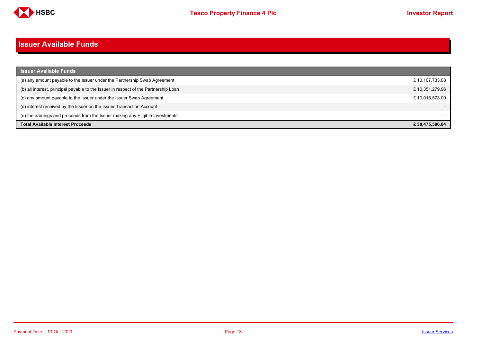

#### <span id="page-12-0"></span>**Issuer Available Funds**

| <b>Issuer Available Funds</b>                                                        |                |
|--------------------------------------------------------------------------------------|----------------|
| (a) any amount payable to the Issuer under the Partnership Swap Agreement            | £10,107,733.08 |
| (b) all interest, principal payable to the Issuer in respect of the Partnership Loan | £10,351,279.96 |
| (c) any amount payable to the Issuer under the Issuer Swap Agreement                 | £10.016.573.00 |
| (d) interest received by the Issuer on the Issuer Transaction Account                |                |
| (e) the earnings and proceeds from the Issuer making any Eligible Investmentst       |                |
| <b>Total Available Interest Proceeds</b>                                             | £30.475.586.04 |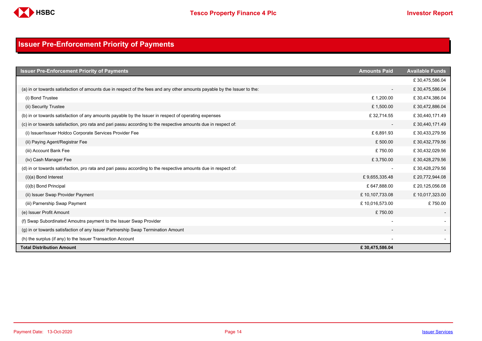

## <span id="page-13-0"></span>**Issuer Pre-Enforcement Priority of Payments**

| <b>Issuer Pre-Enforcement Priority of Payments</b>                                                                       | <b>Amounts Paid</b>      | <b>Available Funds</b> |
|--------------------------------------------------------------------------------------------------------------------------|--------------------------|------------------------|
|                                                                                                                          |                          | £30,475,586.04         |
| (a) in or towards satisfaction of amounts due in respect of the fees and any other amounts payable by the Issuer to the: | $\overline{\phantom{0}}$ | £30,475,586.04         |
| (i) Bond Trustee                                                                                                         | £1,200.00                | £30,474,386.04         |
| (ii) Security Trustee                                                                                                    | £1,500.00                | £30,472,886.04         |
| (b) in or towards satisfaction of any amounts payable by the Issuer in respect of operating expenses                     | £32,714.55               | £30,440,171.49         |
| (c) in or towards satisfaction, pro rata and pari passu according to the respective amounts due in respect of:           |                          | £30,440,171.49         |
| (i) Issuer/Issuer Holdco Corporate Services Provider Fee                                                                 | £6,891.93                | £30,433,279.56         |
| (ii) Paying Agent/Registrar Fee                                                                                          | £500.00                  | £30,432,779.56         |
| (iii) Account Bank Fee                                                                                                   | £750.00                  | £30,432,029.56         |
| (iv) Cash Manager Fee                                                                                                    | £3,750.00                | £30,428,279.56         |
| (d) in or towards satisfaction, pro rata and pari passu according to the respective amounts due in respect of:           |                          | £30,428,279.56         |
| $(i)(a)$ Bond Interest                                                                                                   | £9,655,335.48            | £ 20,772,944.08        |
| (i)(b) Bond Principal                                                                                                    | £647,888.00              | £ 20,125,056.08        |
| (ii) Issuer Swap Provider Payment                                                                                        | £10,107,733.08           | £10,017,323.00         |
| (iii) Parnership Swap Payment                                                                                            | £10,016,573.00           | £750.00                |
| (e) Issuer Profit Amount                                                                                                 | £750.00                  |                        |
| (f) Swap Subordinated Amoutns payment to the Issuer Swap Provider                                                        |                          |                        |
| (g) in or towards satisfaction of any Issuer Partnership Swap Termination Amount                                         |                          |                        |
| (h) the surplus (if any) to the Issuer Transaction Account                                                               |                          |                        |
| <b>Total Distribution Amount</b>                                                                                         | £30,475,586.04           |                        |